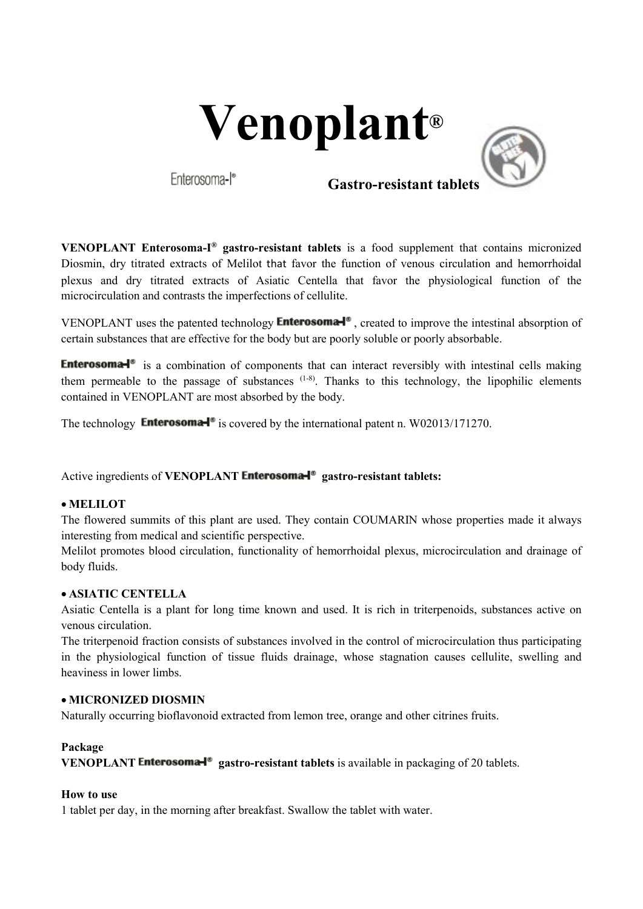



 **Gastro-resistant tablets**

**VENOPLANT Enterosoma-I® gastro-resistant tablets** is a food supplement that contains micronized Diosmin, dry titrated extracts of Melilot that favor the function of venous circulation and hemorrhoidal plexus and dry titrated extracts of Asiatic Centella that favor the physiological function of the microcirculation and contrasts the imperfections of cellulite.

VENOPLANT uses the patented technology **Enterosoma-** $\mathbf{P}$ , created to improve the intestinal absorption of certain substances that are effective for the body but are poorly soluble or poorly absorbable.

**Enterosoma-** $\mathbb{R}^n$  is a combination of components that can interact reversibly with intestinal cells making them permeable to the passage of substances  $(1-8)$ . Thanks to this technology, the lipophilic elements contained in VENOPLANT are most absorbed by the body.

The technology **Enterosoma-**<sup> $\bullet$ </sup> is covered by the international patent n. W02013/171270.

Active ingredients of **VENOPLANT** Enterosoma<sup><sup>®</sup></sup> gastro-resistant tablets:

## • **MELILOT**

The flowered summits of this plant are used. They contain COUMARIN whose properties made it always interesting from medical and scientific perspective.

Melilot promotes blood circulation, functionality of hemorrhoidal plexus, microcirculation and drainage of body fluids.

## • **ASIATIC CENTELLA**

Asiatic Centella is a plant for long time known and used. It is rich in triterpenoids, substances active on venous circulation.

The triterpenoid fraction consists of substances involved in the control of microcirculation thus participating in the physiological function of tissue fluids drainage, whose stagnation causes cellulite, swelling and heaviness in lower limbs.

## • **MICRONIZED DIOSMIN**

Naturally occurring bioflavonoid extracted from lemon tree, orange and other citrines fruits.

### **Package**

**VENOPLANT Enterosoma-<sup>1</sup><sup>®</sup>** gastro-resistant tablets is available in packaging of 20 tablets.

### **How to use**

1 tablet per day, in the morning after breakfast. Swallow the tablet with water.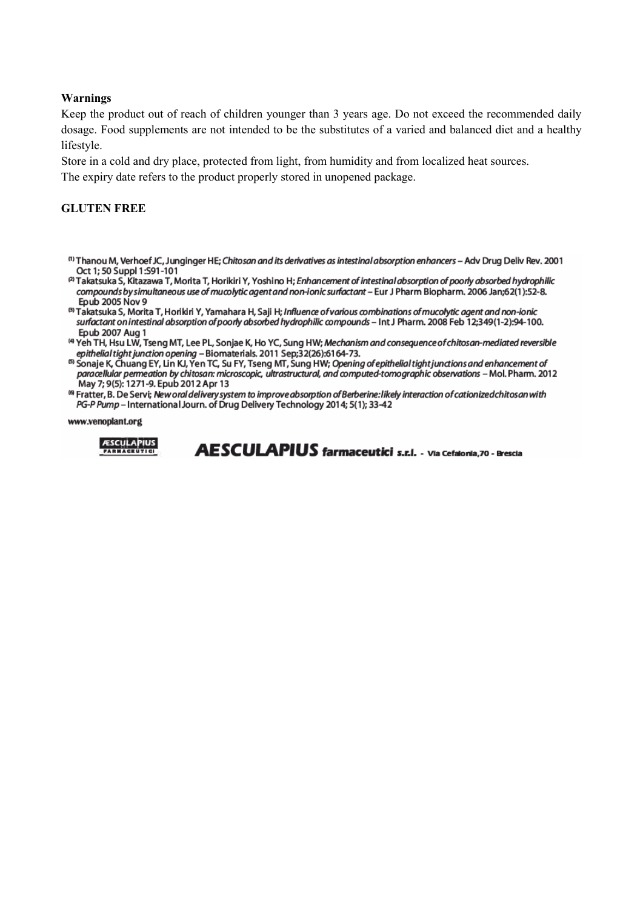### **Warnings**

Keep the product out of reach of children younger than 3 years age. Do not exceed the recommended daily dosage. Food supplements are not intended to be the substitutes of a varied and balanced diet and a healthy lifestyle.

Store in a cold and dry place, protected from light, from humidity and from localized heat sources. The expiry date refers to the product properly stored in unopened package.

### **GLUTEN FREE**

- <sup>(1)</sup> Thanou M, Verhoef JC, Junginger HE: Chitosan and its derivatives as intestinal absorption enhancers Adv Drug Deliv Rev, 2001 Oct 1; 50 Suppl 1:S91-101
- <sup>2)</sup> Takatsuka S, Kitazawa T, Morita T, Horikiri Y, Yoshino H; Enhancement of intestinal absorption of poorly absorbed hydrophilic compounds by simultaneous use of mucolytic agent and non-ionic surfactant - Eur J Pharm Biopharm. 2006 Jan;62(1):52-8. Epub 2005 Nov 9
- <sup>8)</sup> Takatsuka S, Morita T, Horikiri Y, Yamahara H, Saji H; Influence of various combinations of mucolytic agent and non-ionic surfactant on intestinal absorption of poorly absorbed hydrophilic compounds - Int J Pharm. 2008 Feb 12;349(1-2):94-100. Epub 2007 Aug 1
- <sup>(4)</sup> Yeh TH, Hsu LW, Tseng MT, Lee PL, Sonjae K, Ho YC, Sung HW; Mechanism and consequence of chitosan-mediated reversible epithelial tight junction opening - Biomaterials. 2011 Sep;32(26):6164-73.
- <sup>5)</sup> Sonaje K, Chuang EY, Lin KJ, Yen TC, Su FY, Tseng MT, Sung HW; Opening of epithelial tight junctions and enhancement of paracellular permeation by chitosan: microscopic, ultrastructural, and computed-tomographic observations - Mol. Pharm. 2012 May 7; 9(5): 1271-9. Epub 2012 Apr 13
- <sup>(8)</sup> Fratter, B. De Servi; New oral delivery system to improve absorption of Berberine: likely interaction of cationized chitosan with PG-P Pump International Journ. of Drug Delivery Technology 2014; 5(1); 33-42

www.venoplant.org



AESCULAPIUS farmaceutici s.r.i. - Via Cefalonia,70 - Brescia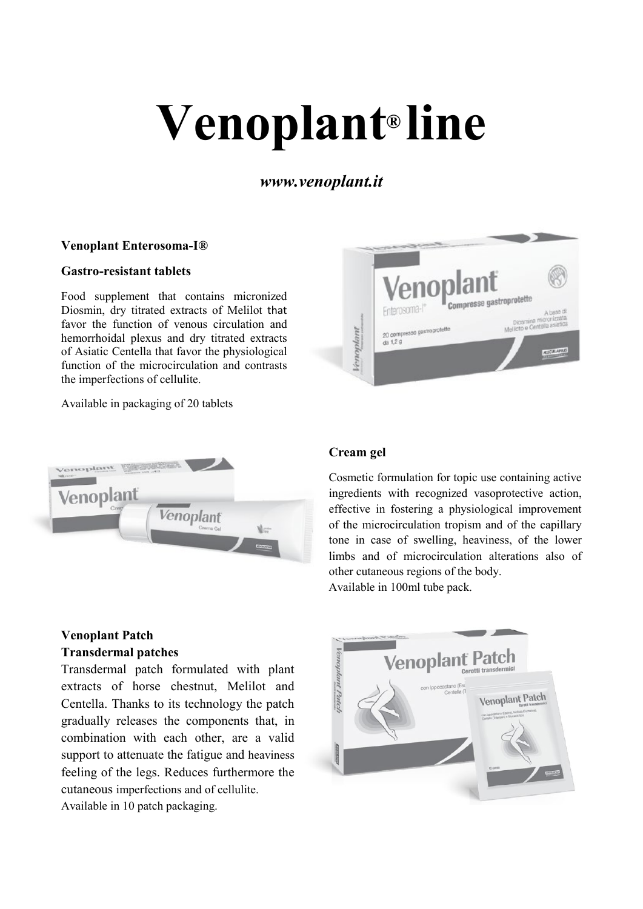# **Venoplant® line**

*www.venoplant.it*

## **Venoplant Enterosoma-I®**

## **Gastro-resistant tablets**

Food supplement that contains micronized Diosmin, dry titrated extracts of Melilot that favor the function of venous circulation and hemorrhoidal plexus and dry titrated extracts of Asiatic Centella that favor the physiological function of the microcirculation and contrasts the imperfections of cellulite.

Available in packaging of 20 tablets



# **Venoplant Patch Transdermal patches**

Transdermal patch formulated with plant extracts of horse chestnut, Melilot and Centella. Thanks to its technology the patch gradually releases the components that, in combination with each other, are a valid support to attenuate the fatigue and heaviness feeling of the legs. Reduces furthermore the cutaneous imperfections and of cellulite. Available in 10 patch packaging.



# **Cream gel**

Cosmetic formulation for topic use containing active ingredients with recognized vasoprotective action, effective in fostering a physiological improvement of the microcirculation tropism and of the capillary tone in case of swelling, heaviness, of the lower limbs and of microcirculation alterations also of other cutaneous regions of the body. Available in 100ml tube pack.